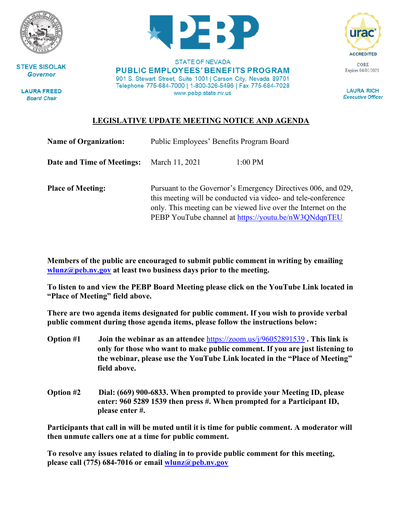

**STEVE SISOLAK Governor** 

**LAURA FREED Board Chair** 



**STATE OF NEVADA PUBLIC EMPLOYEES' BENEFITS PROGRAM** 901 S. Stewart Street, Suite 1001 | Carson City, Nevada 89701 Telephone 775-684-7000 | 1-800-326-5496 | Fax 775-684-7028 www.pebp.state.nv.us



**LAURA RICH Executive Officer** 

## **LEGISLATIVE UPDATE MEETING NOTICE AND AGENDA**

| <b>Name of Organization:</b> | Public Employees' Benefits Program Board                                                                                                                                                                                                                 |           |
|------------------------------|----------------------------------------------------------------------------------------------------------------------------------------------------------------------------------------------------------------------------------------------------------|-----------|
| Date and Time of Meetings:   | March 11, 2021                                                                                                                                                                                                                                           | $1:00$ PM |
| <b>Place of Meeting:</b>     | Pursuant to the Governor's Emergency Directives 006, and 029,<br>this meeting will be conducted via video- and tele-conference<br>only. This meeting can be viewed live over the Internet on the<br>PEBP YouTube channel at https://youtu.be/nW3QNdqnTEU |           |

**Members of the public are encouraged to submit public comment in writing by emailing [wlunz@peb.nv.gov](mailto:wlunz@peb.nv.gov) at least two business days prior to the meeting.**

**To listen to and view the PEBP Board Meeting please click on the YouTube Link located in "Place of Meeting" field above.**

**There are two agenda items designated for public comment. If you wish to provide verbal public comment during those agenda items, please follow the instructions below:**

- **Option #1 Join the webinar as an attendee** <https://zoom.us/j/96052891539> **. This link is only for those who want to make public comment. If you are just listening to the webinar, please use the YouTube Link located in the "Place of Meeting" field above.**
- **Option #2 Dial: (669) 900-6833. When prompted to provide your Meeting ID, please enter: 960 5289 1539 then press #. When prompted for a Participant ID, please enter #.**

**Participants that call in will be muted until it is time for public comment. A moderator will then unmute callers one at a time for public comment.**

**To resolve any issues related to dialing in to provide public comment for this meeting, please call (775) 684-7016 or email [wlunz@peb.nv.gov](mailto:wlunz@peb.nv.gov)**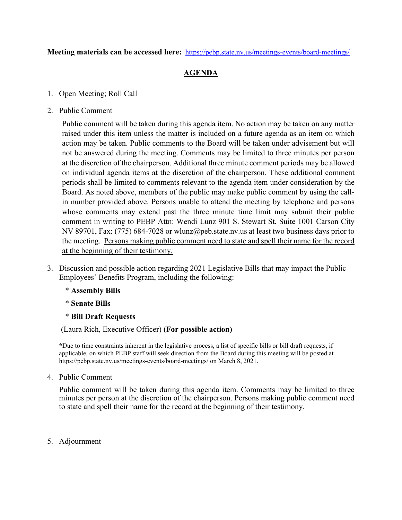**Meeting materials can be accessed here:** <https://pebp.state.nv.us/meetings-events/board-meetings/>

## **AGENDA**

- 1. Open Meeting; Roll Call
- 2. Public Comment

Public comment will be taken during this agenda item. No action may be taken on any matter raised under this item unless the matter is included on a future agenda as an item on which action may be taken. Public comments to the Board will be taken under advisement but will not be answered during the meeting. Comments may be limited to three minutes per person at the discretion of the chairperson. Additional three minute comment periods may be allowed on individual agenda items at the discretion of the chairperson. These additional comment periods shall be limited to comments relevant to the agenda item under consideration by the Board. As noted above, members of the public may make public comment by using the callin number provided above. Persons unable to attend the meeting by telephone and persons whose comments may extend past the three minute time limit may submit their public comment in writing to PEBP Attn: Wendi Lunz 901 S. Stewart St, Suite 1001 Carson City NV 89701, Fax: (775) 684-7028 or wlunz@peb.state.nv.us at least two business days prior to the meeting. Persons making public comment need to state and spell their name for the record at the beginning of their testimony.

- 3. Discussion and possible action regarding 2021 Legislative Bills that may impact the Public Employees' Benefits Program, including the following:
	- \* **Assembly Bills**
	- \* **Senate Bills**
	- \* **Bill Draft Requests**

(Laura Rich, Executive Officer) **(For possible action)**

**\***Due to time constraints inherent in the legislative process, a list of specific bills or bill draft requests, if applicable, on which PEBP staff will seek direction from the Board during this meeting will be posted at https://pebp.state.nv.us/meetings-events/board-meetings/ on March 8, 2021.

4. Public Comment

Public comment will be taken during this agenda item. Comments may be limited to three minutes per person at the discretion of the chairperson. Persons making public comment need to state and spell their name for the record at the beginning of their testimony.

5. Adjournment